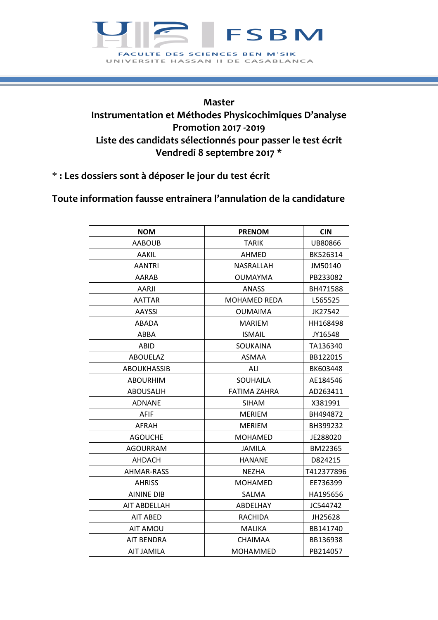## **FSBM** FACULTE DES SCIENCES BEN M'SIK UNIVERSITE HASSAN II DE CASABLANCA

## **Master Instrumentation et Méthodes Physicochimiques D'analyse Promotion 2017 -2019 Liste des candidats sélectionnés pour passer le test écrit Vendredi 8 septembre 2017 \***

\* **: Les dossiers sont à déposer le jour du test écrit**

## **Toute information fausse entrainera l'annulation de la candidature**

| <b>NOM</b>          | <b>PRENOM</b>       | <b>CIN</b> |
|---------------------|---------------------|------------|
| <b>AABOUB</b>       | <b>TARIK</b>        | UB80866    |
| AAKIL               | <b>AHMED</b>        | BK526314   |
| <b>AANTRI</b>       | NASRALLAH           | JM50140    |
| AARAB               | <b>OUMAYMA</b>      | PB233082   |
| AARJI               | <b>ANASS</b>        | BH471588   |
| AATTAR              | <b>MOHAMED REDA</b> | L565525    |
| AAYSSI              | <b>OUMAIMA</b>      | JK27542    |
| ABADA               | <b>MARIEM</b>       | HH168498   |
| <b>ABBA</b>         | <b>ISMAIL</b>       | JY16548    |
| ABID                | SOUKAINA            | TA136340   |
| <b>ABOUELAZ</b>     | <b>ASMAA</b>        | BB122015   |
| <b>ABOUKHASSIB</b>  | ALI                 | BK603448   |
| <b>ABOURHIM</b>     | <b>SOUHAILA</b>     | AE184546   |
| <b>ABOUSALIH</b>    | <b>FATIMA ZAHRA</b> | AD263411   |
| <b>ADNANE</b>       | <b>SIHAM</b>        | X381991    |
| <b>AFIF</b>         | MERIEM              | BH494872   |
| <b>AFRAH</b>        | <b>MERIEM</b>       | BH399232   |
| <b>AGOUCHE</b>      | <b>MOHAMED</b>      | JE288020   |
| <b>AGOURRAM</b>     | <b>JAMILA</b>       | BM22365    |
| <b>AHDACH</b>       | <b>HANANE</b>       | D824215    |
| AHMAR-RASS          | <b>NEZHA</b>        | T412377896 |
| <b>AHRISS</b>       | <b>MOHAMED</b>      | EE736399   |
| <b>AININE DIB</b>   | SALMA               | HA195656   |
| <b>AIT ABDELLAH</b> | ABDELHAY            | JC544742   |
| <b>AIT ABED</b>     | <b>RACHIDA</b>      | JH25628    |
| <b>AIT AMOU</b>     | <b>MALIKA</b>       | BB141740   |
| AIT BENDRA          | <b>CHAIMAA</b>      | BB136938   |
| <b>AIT JAMILA</b>   | <b>MOHAMMED</b>     | PB214057   |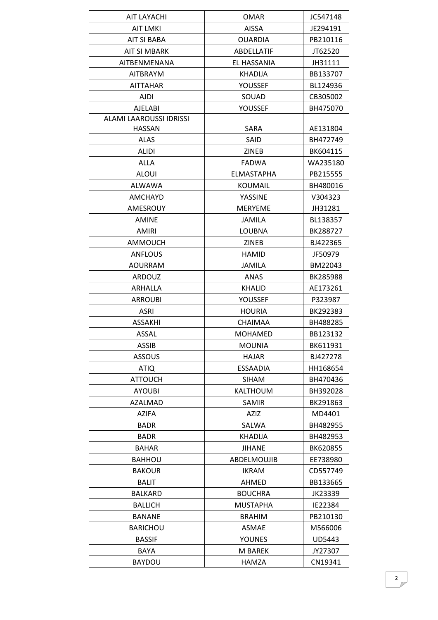| <b>AIT LAYACHI</b>      | <b>OMAR</b>     | JC547148 |
|-------------------------|-----------------|----------|
| <b>AIT LMKI</b>         | <b>AISSA</b>    | JE294191 |
| <b>AIT SI BABA</b>      | <b>OUARDIA</b>  | PB210116 |
| <b>AIT SI MBARK</b>     | ABDELLATIF      | JT62520  |
| AITBENMENANA            | EL HASSANIA     | JH31111  |
| <b>AITBRAYM</b>         | KHADIJA         | BB133707 |
| <b>AITTAHAR</b>         | YOUSSEF         | BL124936 |
| <b>AJDI</b>             | SOUAD           | CB305002 |
| <b>AJELABI</b>          | <b>YOUSSEF</b>  | BH475070 |
| ALAMI LAAROUSSI IDRISSI |                 |          |
| HASSAN                  | SARA            | AE131804 |
| <b>ALAS</b>             | <b>SAID</b>     | BH472749 |
| <b>ALIDI</b>            | <b>ZINEB</b>    | BK604115 |
| <b>ALLA</b>             | <b>FADWA</b>    | WA235180 |
| <b>ALOUI</b>            | ELMASTAPHA      | PB215555 |
| ALWAWA                  | <b>KOUMAIL</b>  | BH480016 |
| <b>AMCHAYD</b>          | YASSINE         | V304323  |
| AMESROUY                | <b>MERYEME</b>  | JH31281  |
| <b>AMINE</b>            | <b>JAMILA</b>   | BL138357 |
| AMIRI                   | <b>LOUBNA</b>   | BK288727 |
| AMMOUCH                 | <b>ZINEB</b>    | BJ422365 |
| ANFLOUS                 | <b>HAMID</b>    | JF50979  |
| <b>AOURRAM</b>          | <b>JAMILA</b>   | BM22043  |
| <b>ARDOUZ</b>           | ANAS            | BK285988 |
| ARHALLA                 | <b>KHALID</b>   | AE173261 |
| <b>ARROUBI</b>          | YOUSSEF         | P323987  |
| ASRI                    | <b>HOURIA</b>   | BK292383 |
| <b>ASSAKHI</b>          | <b>CHAIMAA</b>  | BH488285 |
| <b>ASSAL</b>            | MOHAMED         | BB123132 |
| <b>ASSIB</b>            | <b>MOUNIA</b>   | BK611931 |
| ASSOUS                  | HAJAR           | BJ427278 |
| <b>ATIQ</b>             | <b>ESSAADIA</b> | HH168654 |
| <b>ATTOUCH</b>          | <b>SIHAM</b>    | BH470436 |
| <b>AYOUBI</b>           | <b>KALTHOUM</b> | BH392028 |
| AZALMAD                 | <b>SAMIR</b>    | BK291863 |
| <b>AZIFA</b>            | AZIZ            | MD4401   |
| <b>BADR</b>             | SALWA           | BH482955 |
| <b>BADR</b>             | KHADIJA         | BH482953 |
| <b>BAHAR</b>            | <b>JIHANE</b>   | BK620855 |
| <b>BAHHOU</b>           | ABDELMOUJIB     | EE738980 |
| <b>BAKOUR</b>           | <b>IKRAM</b>    | CD557749 |
| <b>BALIT</b>            | <b>AHMED</b>    | BB133665 |
| BALKARD                 | <b>BOUCHRA</b>  | JK23339  |
| <b>BALLICH</b>          | <b>MUSTAPHA</b> | IE22384  |
| <b>BANANE</b>           | <b>BRAHIM</b>   | PB210130 |
| <b>BARICHOU</b>         | <b>ASMAE</b>    | M566006  |
| <b>BASSIF</b>           | <b>YOUNES</b>   | UD5443   |
| BAYA                    | M BAREK         | JY27307  |
| <b>BAYDOU</b>           | HAMZA           | CN19341  |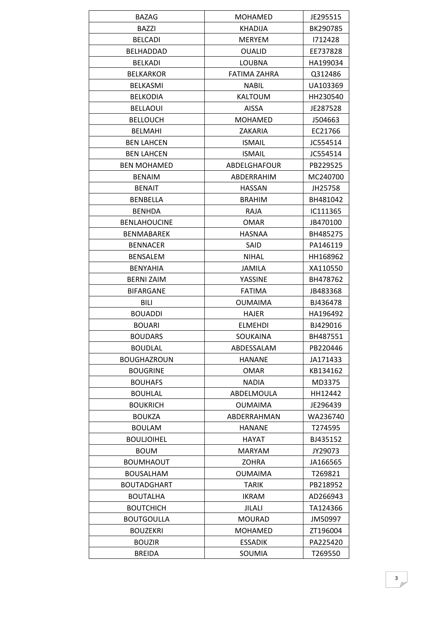| <b>BAZAG</b>        | <b>MOHAMED</b> | JE295515 |
|---------------------|----------------|----------|
| <b>BAZZI</b>        | <b>KHADIJA</b> | BK290785 |
| <b>BELCADI</b>      | <b>MERYEM</b>  | 1712428  |
| BELHADDAD           | <b>OUALID</b>  | EE737828 |
| <b>BELKADI</b>      | <b>LOUBNA</b>  | HA199034 |
| <b>BELKARKOR</b>    | FATIMA ZAHRA   | Q312486  |
| <b>BELKASMI</b>     | <b>NABIL</b>   | UA103369 |
| <b>BELKODIA</b>     | <b>KALTOUM</b> | HH230540 |
| <b>BELLAOUI</b>     | AISSA          | JE287528 |
| <b>BELLOUCH</b>     | <b>MOHAMED</b> | J504663  |
| <b>BELMAHI</b>      | ZAKARIA        | EC21766  |
| <b>BEN LAHCEN</b>   | <b>ISMAIL</b>  | JC554514 |
| <b>BEN LAHCEN</b>   | <b>ISMAIL</b>  | JC554514 |
| <b>BEN MOHAMED</b>  | ABDELGHAFOUR   | PB229525 |
| <b>BENAIM</b>       | ABDERRAHIM     | MC240700 |
| <b>BENAIT</b>       | <b>HASSAN</b>  | JH25758  |
| <b>BENBELLA</b>     | <b>BRAHIM</b>  | BH481042 |
| <b>BENHDA</b>       | RAJA           | IC111365 |
| <b>BENLAHOUCINE</b> | <b>OMAR</b>    | JB470100 |
| <b>BENMABAREK</b>   | <b>HASNAA</b>  | BH485275 |
|                     |                |          |
| <b>BENNACER</b>     | SAID           | PA146119 |
| <b>BENSALEM</b>     | <b>NIHAL</b>   | HH168962 |
| <b>BENYAHIA</b>     | <b>JAMILA</b>  | XA110550 |
| <b>BERNI ZAIM</b>   | YASSINE        | BH478762 |
| <b>BIFARGANE</b>    | <b>FATIMA</b>  | JB483368 |
| <b>BILI</b>         | <b>OUMAIMA</b> | BJ436478 |
| <b>BOUADDI</b>      | <b>HAJER</b>   | HA196492 |
| <b>BOUARI</b>       | <b>ELMEHDI</b> | BJ429016 |
| <b>BOUDARS</b>      | SOUKAINA       | BH487551 |
| <b>BOUDLAL</b>      | ABDESSALAM     | PB220446 |
| <b>BOUGHAZROUN</b>  | <b>HANANE</b>  | JA171433 |
| <b>BOUGRINE</b>     | <b>OMAR</b>    | KB134162 |
| <b>BOUHAFS</b>      | <b>NADIA</b>   | MD3375   |
| <b>BOUHLAL</b>      | ABDELMOULA     | HH12442  |
| <b>BOUKRICH</b>     | <b>OUMAIMA</b> | JE296439 |
| <b>BOUKZA</b>       | ABDERRAHMAN    | WA236740 |
| <b>BOULAM</b>       | <b>HANANE</b>  | T274595  |
| <b>BOULJOIHEL</b>   | HAYAT          | BJ435152 |
| <b>BOUM</b>         | <b>MARYAM</b>  | JY29073  |
| <b>BOUMHAOUT</b>    | <b>ZOHRA</b>   | JA166565 |
| <b>BOUSALHAM</b>    | <b>OUMAIMA</b> | T269821  |
| <b>BOUTADGHART</b>  | <b>TARIK</b>   | PB218952 |
| <b>BOUTALHA</b>     | <b>IKRAM</b>   | AD266943 |
| <b>BOUTCHICH</b>    | JILALI         | TA124366 |
| <b>BOUTGOULLA</b>   | <b>MOURAD</b>  | JM50997  |
| <b>BOUZEKRI</b>     | <b>MOHAMED</b> | ZT196004 |
| <b>BOUZIR</b>       | <b>ESSADIK</b> | PA225420 |
| <b>BREIDA</b>       | SOUMIA         | T269550  |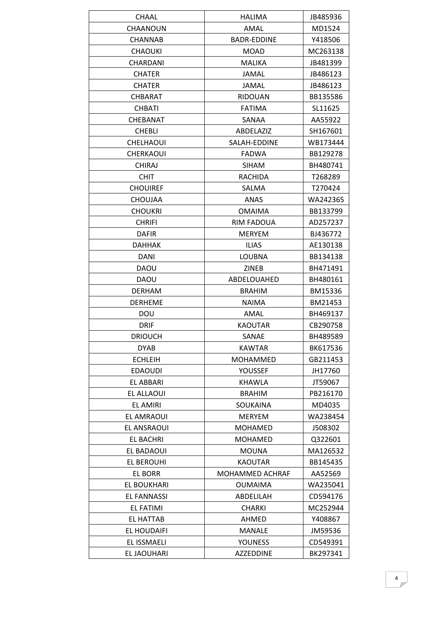| CHAAL              | HALIMA                 | JB485936 |
|--------------------|------------------------|----------|
| CHAANOUN           | AMAL                   | MD1524   |
| <b>CHANNAB</b>     | <b>BADR-EDDINE</b>     | Y418506  |
| <b>CHAOUKI</b>     | MOAD                   | MC263138 |
| <b>CHARDANI</b>    | <b>MALIKA</b>          | JB481399 |
| <b>CHATER</b>      | JAMAL                  | JB486123 |
| <b>CHATER</b>      | <b>JAMAL</b>           | JB486123 |
| <b>CHBARAT</b>     | <b>RIDOUAN</b>         | BB135586 |
| <b>CHBATI</b>      | <b>FATIMA</b>          | SL11625  |
| CHEBANAT           | SANAA                  | AA55922  |
| <b>CHEBLI</b>      | ABDELAZIZ              | SH167601 |
| <b>CHELHAOUI</b>   | SALAH-EDDINE           | WB173444 |
| <b>CHERKAOUI</b>   | <b>FADWA</b>           | BB129278 |
| <b>CHIRAJ</b>      | <b>SIHAM</b>           | BH480741 |
| <b>CHIT</b>        | RACHIDA                | T268289  |
| <b>CHOUIREF</b>    | SALMA                  | T270424  |
| <b>CHOUJAA</b>     | <b>ANAS</b>            | WA242365 |
| <b>CHOUKRI</b>     | <b>OMAIMA</b>          | BB133799 |
| <b>CHRIFI</b>      | RIM FADOUA             | AD257237 |
| <b>DAFIR</b>       | <b>MERYEM</b>          | BJ436772 |
| <b>DAHHAK</b>      |                        |          |
|                    | <b>ILIAS</b>           | AE130138 |
| <b>DANI</b>        | <b>LOUBNA</b>          | BB134138 |
| <b>DAOU</b>        | <b>ZINEB</b>           | BH471491 |
| DAOU               | ABDELOUAHED            | BH480161 |
| <b>DERHAM</b>      | <b>BRAHIM</b>          | BM15336  |
| <b>DERHEME</b>     | <b>NAIMA</b>           | BM21453  |
| DOU                | AMAL                   | BH469137 |
| <b>DRIF</b>        | <b>KAOUTAR</b>         | CB290758 |
| <b>DRIOUCH</b>     | SANAE                  | BH489589 |
| <b>DYAB</b>        | <b>KAWTAR</b>          | BK617536 |
| <b>ECHLEIH</b>     | <b>MOHAMMED</b>        | GB211453 |
| <b>EDAOUDI</b>     | YOUSSEF                | JH17760  |
| EL ABBARI          | KHAWLA                 | JT59067  |
| EL ALLAOUI         | <b>BRAHIM</b>          | PB216170 |
| EL AMIRI           | <b>SOUKAINA</b>        | MD4035   |
| EL AMRAOUI         | <b>MERYEM</b>          | WA238454 |
| EL ANSRAOUI        | <b>MOHAMED</b>         | J508302  |
| <b>EL BACHRI</b>   | <b>MOHAMED</b>         | Q322601  |
| EL BADAOUI         | <b>MOUNA</b>           | MA126532 |
| EL BEROUHI         | <b>KAOUTAR</b>         | BB145435 |
| <b>EL BORR</b>     | <b>MOHAMMED ACHRAF</b> | AA52569  |
| <b>EL BOUKHARI</b> | <b>OUMAIMA</b>         | WA235041 |
| <b>EL FANNASSI</b> | ABDELILAH              | CD594176 |
| EL FATIMI          | <b>CHARKI</b>          | MC252944 |
| EL HATTAB          | AHMED                  | Y408867  |
| EL HOUDAIFI        | <b>MANALE</b>          | JM59536  |
| EL ISSMAELI        | <b>YOUNESS</b>         | CD549391 |
| EL JAOUHARI        | <b>AZZEDDINE</b>       | BK297341 |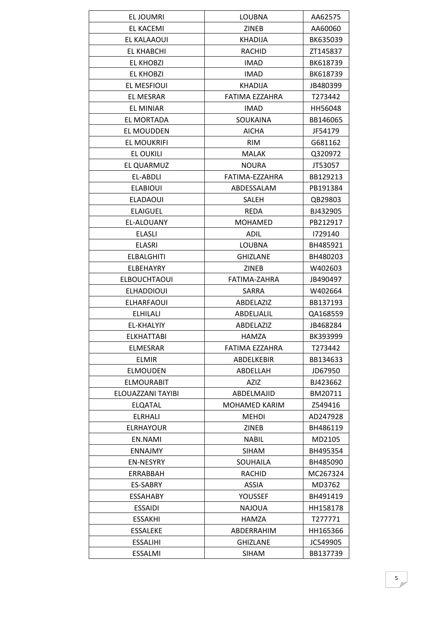| EL JOUMRI           | <b>LOUBNA</b>        | AA62575  |
|---------------------|----------------------|----------|
| <b>EL KACEMI</b>    | <b>ZINEB</b>         | AA60060  |
| <b>EL KALAAOUI</b>  | <b>KHADIJA</b>       | BK635039 |
| <b>EL KHABCHI</b>   | <b>RACHID</b>        | ZT145837 |
| <b>EL KHOBZI</b>    | <b>IMAD</b>          | BK618739 |
| <b>EL KHOBZI</b>    | <b>IMAD</b>          | BK618739 |
| EL MESFIOUI         | KHADIJA              | JB480399 |
| EL MESRAR           | FATIMA EZZAHRA       | T273442  |
| <b>EL MINIAR</b>    | <b>IMAD</b>          | HH56048  |
| EL MORTADA          | SOUKAINA             | BB146065 |
| EL MOUDDEN          | AICHA                | JF54179  |
| <b>EL MOUKRIFI</b>  | <b>RIM</b>           | G681162  |
| EL OUKILI           | <b>MALAK</b>         | Q320972  |
| EL QUARMUZ          | <b>NOURA</b>         | JT53057  |
| EL-ABDLI            | FATIMA-EZZAHRA       | BB129213 |
| <b>ELABIOUI</b>     | ABDESSALAM           | PB191384 |
| <b>ELADAOUI</b>     | <b>SALEH</b>         | QB29803  |
| <b>ELAIGUEL</b>     | <b>REDA</b>          | BJ432905 |
| EL-ALOUANY          | <b>MOHAMED</b>       | PB212917 |
| <b>ELASLI</b>       | <b>ADIL</b>          | 1729140  |
| <b>ELASRI</b>       | <b>LOUBNA</b>        | BH485921 |
| <b>ELBALGHITI</b>   | <b>GHIZLANE</b>      | BH480203 |
| ELBEHAYRY           | <b>ZINEB</b>         | W402603  |
| <b>ELBOUCHTAOUI</b> | FATIMA-ZAHRA         | JB490497 |
| <b>ELHADDIOUI</b>   | SARRA                | W402664  |
| <b>ELHARFAOUI</b>   | ABDELAZIZ            | BB137193 |
| <b>ELHILALI</b>     | ABDELJALIL           | QA168559 |
| EL-KHALYIY          | ABDELAZIZ            | JB468284 |
| <b>ELKHATTABI</b>   | <b>HAMZA</b>         | BK393999 |
| <b>ELMESRAR</b>     | FATIMA EZZAHRA       | T273442  |
| <b>ELMIR</b>        | ABDELKEBIR           | BB134633 |
| <b>ELMOUDEN</b>     | ABDELLAH             | JD67950  |
| <b>ELMOURABIT</b>   | <b>AZIZ</b>          | BJ423662 |
| ELOUAZZANI TAYIBI   | ABDELMAJID           | BM20711  |
| <b>ELQATAL</b>      | <b>MOHAMED KARIM</b> | Z549416  |
| <b>ELRHALI</b>      | MEHDI                | AD247928 |
| <b>ELRHAYOUR</b>    | ZINEB                | BH486119 |
| EN.NAMI             | <b>NABIL</b>         | MD2105   |
| <b>ENNAJMY</b>      | <b>SIHAM</b>         | BH495354 |
| <b>EN-NESYRY</b>    | SOUHAILA             | BH485090 |
| ERRABBAH            | RACHID               | MC267324 |
| <b>ES-SABRY</b>     | ASSIA                | MD3762   |
| <b>ESSAHABY</b>     | YOUSSEF              | BH491419 |
| <b>ESSAIDI</b>      | <b>NAJOUA</b>        | HH158178 |
| <b>ESSAKHI</b>      | HAMZA                | T277771  |
| <b>ESSALEKE</b>     | ABDERRAHIM           | HH165366 |
|                     |                      |          |
| <b>ESSALIHI</b>     | <b>GHIZLANE</b>      | JC549905 |
| <b>ESSALMI</b>      | <b>SIHAM</b>         | BB137739 |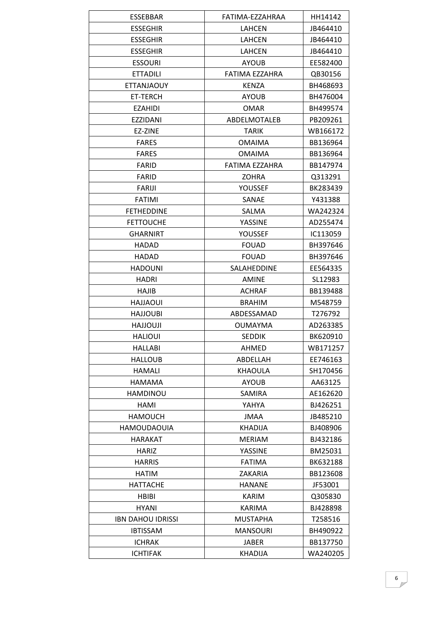| ESSEBBAR                 | FATIMA-EZZAHRAA | HH14142  |
|--------------------------|-----------------|----------|
| <b>ESSEGHIR</b>          | <b>LAHCEN</b>   | JB464410 |
| <b>ESSEGHIR</b>          | <b>LAHCEN</b>   | JB464410 |
| <b>ESSEGHIR</b>          | <b>LAHCEN</b>   | JB464410 |
| <b>ESSOURI</b>           | <b>AYOUB</b>    | EE582400 |
| <b>ETTADILI</b>          | FATIMA EZZAHRA  | QB30156  |
| <b>ETTANJAOUY</b>        | KENZA           | BH468693 |
| ET-TERCH                 | <b>AYOUB</b>    | BH476004 |
| <b>EZAHIDI</b>           | <b>OMAR</b>     | BH499574 |
| <b>EZZIDANI</b>          | ABDELMOTALEB    | PB209261 |
| EZ-ZINE                  | <b>TARIK</b>    | WB166172 |
| <b>FARES</b>             | <b>OMAIMA</b>   | BB136964 |
| <b>FARES</b>             | <b>OMAIMA</b>   | BB136964 |
| <b>FARID</b>             | FATIMA EZZAHRA  | BB147974 |
| <b>FARID</b>             | <b>ZOHRA</b>    | Q313291  |
| <b>FARIJI</b>            | YOUSSEF         | BK283439 |
| <b>FATIMI</b>            | SANAE           | Y431388  |
| <b>FETHEDDINE</b>        | SALMA           | WA242324 |
| <b>FETTOUCHE</b>         | <b>YASSINE</b>  | AD255474 |
| <b>GHARNIRT</b>          | YOUSSEF         | IC113059 |
| <b>HADAD</b>             |                 |          |
|                          | <b>FOUAD</b>    | BH397646 |
| HADAD                    | <b>FOUAD</b>    | BH397646 |
| <b>HADOUNI</b>           | SALAHEDDINE     | EE564335 |
| <b>HADRI</b>             | AMINE           | SL12983  |
| HAJIB                    | <b>ACHRAF</b>   | BB139488 |
| <b>HAJJAOUI</b>          | <b>BRAHIM</b>   | M548759  |
| <b>HAJJOUBI</b>          | ABDESSAMAD      | T276792  |
| <b>ILUOLLAH</b>          | <b>OUMAYMA</b>  | AD263385 |
| <b>HALIOUI</b>           | <b>SEDDIK</b>   | BK620910 |
| <b>HALLABI</b>           | AHMED           | WB171257 |
| <b>HALLOUB</b>           | ABDELLAH        | EE746163 |
| HAMALI                   | <b>KHAOULA</b>  | SH170456 |
| <b>HAMAMA</b>            | <b>AYOUB</b>    | AA63125  |
| HAMDINOU                 | SAMIRA          | AE162620 |
| HAMI                     | YAHYA           | BJ426251 |
| <b>HAMOUCH</b>           | <b>JMAA</b>     | JB485210 |
| <b>HAMOUDAOUIA</b>       | <b>KHADIJA</b>  | BJ408906 |
| <b>HARAKAT</b>           | <b>MERIAM</b>   | BJ432186 |
| <b>HARIZ</b>             | YASSINE         | BM25031  |
| <b>HARRIS</b>            | <b>FATIMA</b>   | BK632188 |
| <b>HATIM</b>             | ZAKARIA         | BB123608 |
| <b>HATTACHE</b>          | <b>HANANE</b>   | JF53001  |
| <b>HBIBI</b>             | <b>KARIM</b>    | Q305830  |
| HYANI                    | KARIMA          | BJ428898 |
| <b>IBN DAHOU IDRISSI</b> | <b>MUSTAPHA</b> | T258516  |
| <b>IBTISSAM</b>          | <b>MANSOURI</b> | BH490922 |
| <b>ICHRAK</b>            | <b>JABER</b>    | BB137750 |
| <b>ICHTIFAK</b>          | <b>KHADIJA</b>  | WA240205 |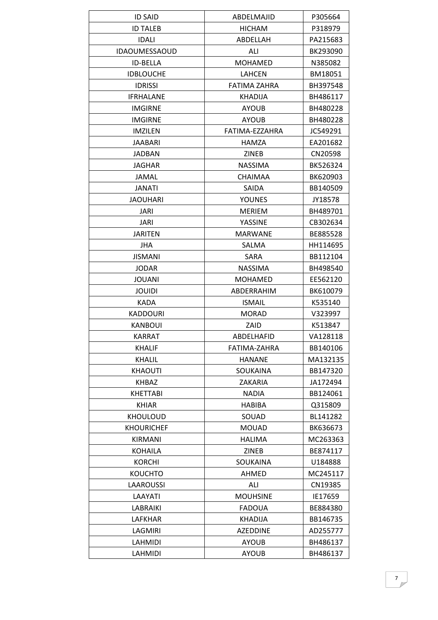| <b>ID SAID</b>       | ABDELMAJID      | P305664  |
|----------------------|-----------------|----------|
| <b>ID TALEB</b>      | <b>HICHAM</b>   | P318979  |
| <b>IDALI</b>         | ABDELLAH        | PA215683 |
| <b>IDAOUMESSAOUD</b> | ALI             | BK293090 |
| ID-BELLA             | <b>MOHAMED</b>  | N385082  |
| <b>IDBLOUCHE</b>     | <b>LAHCEN</b>   | BM18051  |
| <b>IDRISSI</b>       | FATIMA ZAHRA    | BH397548 |
| <b>IFRHALANE</b>     | <b>KHADIJA</b>  | BH486117 |
| <b>IMGIRNE</b>       | <b>AYOUB</b>    | BH480228 |
| <b>IMGIRNE</b>       | <b>AYOUB</b>    | BH480228 |
| <b>IMZILEN</b>       | FATIMA-EZZAHRA  | JC549291 |
| <b>JAABARI</b>       | HAMZA           | EA201682 |
| <b>JADBAN</b>        | <b>ZINEB</b>    | CN20598  |
| <b>JAGHAR</b>        | <b>NASSIMA</b>  | BK526324 |
| JAMAL                | <b>CHAIMAA</b>  | BK620903 |
| <b>JANATI</b>        | SAIDA           | BB140509 |
| <b>JAOUHARI</b>      | <b>YOUNES</b>   | JY18578  |
| JARI                 | <b>MERIEM</b>   | BH489701 |
| <b>JARI</b>          | YASSINE         | CB302634 |
| <b>JARITEN</b>       | <b>MARWANE</b>  | BE885528 |
| <b>JHA</b>           | SALMA           | HH114695 |
| <b>JISMANI</b>       | SARA            | BB112104 |
| <b>JODAR</b>         | <b>NASSIMA</b>  | BH498540 |
| <b>JOUANI</b>        | <b>MOHAMED</b>  | EE562120 |
| <b>JOUIDI</b>        | ABDERRAHIM      | BK610079 |
| <b>KADA</b>          | <b>ISMAIL</b>   | K535140  |
| <b>KADDOURI</b>      | <b>MORAD</b>    | V323997  |
| <b>KANBOUI</b>       | ZAID            | K513847  |
| <b>KARRAT</b>        | ABDELHAFID      | VA128118 |
| <b>KHALIF</b>        | FATIMA-ZAHRA    | BB140106 |
| KHALIL               | <b>HANANE</b>   | MA132135 |
| <b>KHAOUTI</b>       | SOUKAINA        | BB147320 |
| KHBAZ                | ZAKARIA         | JA172494 |
| <b>KHETTABI</b>      | <b>NADIA</b>    | BB124061 |
| <b>KHIAR</b>         | <b>HABIBA</b>   | Q315809  |
| <b>KHOULOUD</b>      | SOUAD           | BL141282 |
| <b>KHOURICHEF</b>    | <b>MOUAD</b>    | BK636673 |
| KIRMANI              | HALIMA          | MC263363 |
| <b>KOHAILA</b>       | <b>ZINEB</b>    | BE874117 |
| <b>KORCHI</b>        | <b>SOUKAINA</b> | U184888  |
| <b>KOUCHTO</b>       | <b>AHMED</b>    | MC245117 |
| <b>LAAROUSSI</b>     | ALI             | CN19385  |
| LAAYATI              | <b>MOUHSINE</b> | IE17659  |
| LABRAIKI             | <b>FADOUA</b>   | BE884380 |
| LAFKHAR              | KHADIJA         | BB146735 |
| LAGMIRI              | <b>AZEDDINE</b> | AD255777 |
| LAHMIDI              | <b>AYOUB</b>    | BH486137 |
| LAHMIDI              | <b>AYOUB</b>    | BH486137 |
|                      |                 |          |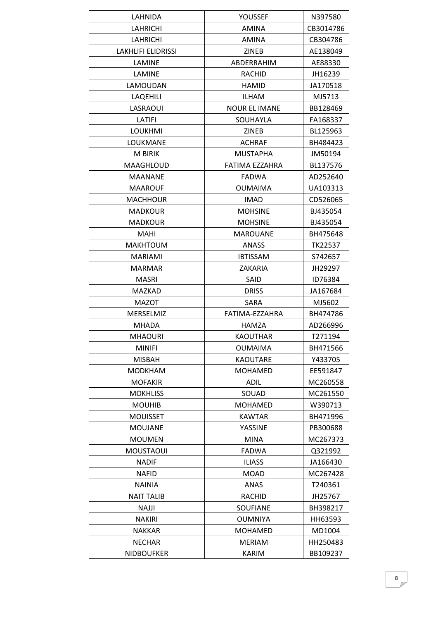| LAHNIDA                   | YOUSSEF              | N397580   |
|---------------------------|----------------------|-----------|
| LAHRICHI                  | <b>AMINA</b>         | CB3014786 |
| <b>LAHRICHI</b>           | <b>AMINA</b>         | CB304786  |
| <b>LAKHLIFI ELIDRISSI</b> | <b>ZINEB</b>         | AE138049  |
| LAMINE                    | ABDERRAHIM           | AE88330   |
| LAMINE                    | RACHID               | JH16239   |
| LAMOUDAN                  | <b>HAMID</b>         | JA170518  |
| LAQEHILI                  | <b>ILHAM</b>         | MJ5713    |
| LASRAOUI                  | <b>NOUR EL IMANE</b> | BB128469  |
| LATIFI                    | SOUHAYLA             | FA168337  |
| <b>LOUKHMI</b>            | <b>ZINEB</b>         | BL125963  |
| LOUKMANE                  | <b>ACHRAF</b>        | BH484423  |
| <b>M BIRIK</b>            | <b>MUSTAPHA</b>      | JM50194   |
| MAAGHLOUD                 | FATIMA EZZAHRA       | BL137576  |
| <b>MAANANE</b>            | <b>FADWA</b>         | AD252640  |
| <b>MAAROUF</b>            | <b>OUMAIMA</b>       | UA103313  |
| <b>MACHHOUR</b>           | <b>IMAD</b>          | CD526065  |
| <b>MADKOUR</b>            | <b>MOHSINE</b>       | BJ435054  |
| <b>MADKOUR</b>            | <b>MOHSINE</b>       | BJ435054  |
| <b>MAHI</b>               | <b>MAROUANE</b>      | BH475648  |
| <b>MAKHTOUM</b>           | ANASS                | TK22537   |
| <b>MARIAMI</b>            | <b>IBTISSAM</b>      | S742657   |
| <b>MARMAR</b>             | ZAKARIA              | JH29297   |
| <b>MASRI</b>              | SAID                 | ID76384   |
| <b>MAZKAD</b>             | <b>DRISS</b>         | JA167684  |
| <b>MAZOT</b>              | <b>SARA</b>          | MJ5602    |
| MERSELMIZ                 | FATIMA-EZZAHRA       | BH474786  |
| <b>MHADA</b>              | <b>HAMZA</b>         | AD266996  |
| <b>MHAOURI</b>            | <b>KAOUTHAR</b>      | T271194   |
| <b>MINIFI</b>             | <b>OUMAIMA</b>       | BH471566  |
| <b>MISBAH</b>             | <b>KAOUTARE</b>      | Y433705   |
| <b>MODKHAM</b>            | <b>MOHAMED</b>       | EE591847  |
| <b>MOFAKIR</b>            | ADIL                 | MC260558  |
| <b>MOKHLISS</b>           | SOUAD                | MC261550  |
| <b>MOUHIB</b>             | <b>MOHAMED</b>       | W390713   |
| <b>MOUISSET</b>           | <b>KAWTAR</b>        | BH471996  |
| <b>MOUJANE</b>            | <b>YASSINE</b>       | PB300688  |
| <b>MOUMEN</b>             | <b>MINA</b>          | MC267373  |
| <b>MOUSTAOUI</b>          | <b>FADWA</b>         | Q321992   |
| <b>NADIF</b>              | <b>ILIASS</b>        | JA166430  |
| <b>NAFID</b>              | <b>MOAD</b>          | MC267428  |
| <b>NAINIA</b>             | ANAS                 | T240361   |
| <b>NAIT TALIB</b>         | <b>RACHID</b>        | JH25767   |
| <b>NAJJI</b>              | <b>SOUFIANE</b>      | BH398217  |
| NAKIRI                    | <b>OUMNIYA</b>       | HH63593   |
| <b>NAKKAR</b>             | <b>MOHAMED</b>       | MD1004    |
| <b>NECHAR</b>             | <b>MERIAM</b>        | HH250483  |
| <b>NIDBOUFKER</b>         | KARIM                | BB109237  |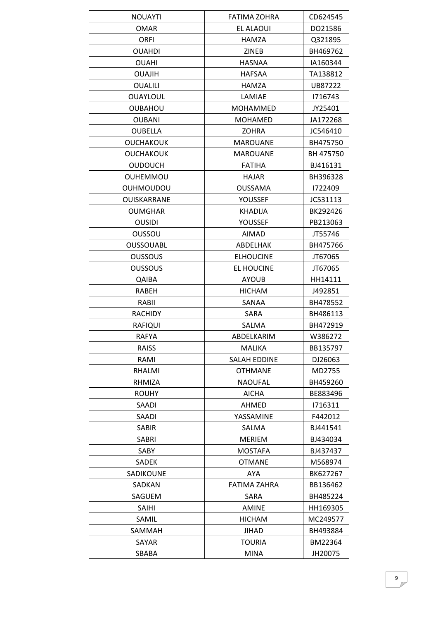| <b>NOUAYTI</b>   | FATIMA ZOHRA        | CD624545  |
|------------------|---------------------|-----------|
| <b>OMAR</b>      | EL ALAOUI           | DO21586   |
| <b>ORFI</b>      | HAMZA               | Q321895   |
| <b>OUAHDI</b>    | ZINEB               | BH469762  |
| <b>OUAHI</b>     | <b>HASNAA</b>       | IA160344  |
| <b>OUAJIH</b>    | <b>HAFSAA</b>       | TA138812  |
| <b>OUALILI</b>   | HAMZA               | UB87222   |
| <b>OUAYLOUL</b>  | LAMIAE              | 1716743   |
| <b>OUBAHOU</b>   | <b>MOHAMMED</b>     | JY25401   |
| <b>OUBANI</b>    | <b>MOHAMED</b>      | JA172268  |
| <b>OUBELLA</b>   | ZOHRA               | JC546410  |
| <b>OUCHAKOUK</b> | <b>MAROUANE</b>     | BH475750  |
| <b>OUCHAKOUK</b> | <b>MAROUANE</b>     | BH 475750 |
| <b>OUDOUCH</b>   | <b>FATIHA</b>       | BJ416131  |
| <b>OUHEMMOU</b>  | <b>HAJAR</b>        | BH396328  |
| <b>OUHMOUDOU</b> | <b>OUSSAMA</b>      | 1722409   |
| OUISKARRANE      | YOUSSEF             | JC531113  |
| <b>OUMGHAR</b>   | <b>KHADIJA</b>      | BK292426  |
| <b>OUSIDI</b>    | <b>YOUSSEF</b>      | PB213063  |
| OUSSOU           | <b>AIMAD</b>        | JT55746   |
| <b>OUSSOUABL</b> | ABDELHAK            | BH475766  |
| <b>OUSSOUS</b>   | <b>ELHOUCINE</b>    | JT67065   |
| OUSSOUS          | <b>EL HOUCINE</b>   | JT67065   |
| QAIBA            | <b>AYOUB</b>        | HH14111   |
| RABEH            | <b>HICHAM</b>       | J492851   |
| RABII            | SANAA               | BH478552  |
| <b>RACHIDY</b>   | SARA                | BH486113  |
| <b>RAFIQUI</b>   | SALMA               | BH472919  |
| <b>RAFYA</b>     | ABDELKARIM          | W386272   |
| RAISS            | <b>MALIKA</b>       | BB135797  |
| RAMI             | <b>SALAH EDDINE</b> | DJ26063   |
| RHALMI           | <b>OTHMANE</b>      | MD2755    |
| RHMIZA           | <b>NAOUFAL</b>      | BH459260  |
| <b>ROUHY</b>     | <b>AICHA</b>        | BE883496  |
| SAADI            | AHMED               | 1716311   |
| SAADI            | YASSAMINE           | F442012   |
| <b>SABIR</b>     | SALMA               | BJ441541  |
| SABRI            | <b>MERIEM</b>       | BJ434034  |
| SABY             | <b>MOSTAFA</b>      | BJ437437  |
| SADEK            | <b>OTMANE</b>       | M568974   |
| SADIKOUNE        | <b>AYA</b>          | BK627267  |
| SADKAN           | FATIMA ZAHRA        | BB136462  |
| SAGUEM           | SARA                | BH485224  |
| <b>SAIHI</b>     | <b>AMINE</b>        | HH169305  |
| SAMIL            | <b>HICHAM</b>       | MC249577  |
| SAMMAH           | <b>JIHAD</b>        | BH493884  |
| SAYAR            | TOURIA              | BM22364   |
| SBABA            | MINA                | JH20075   |